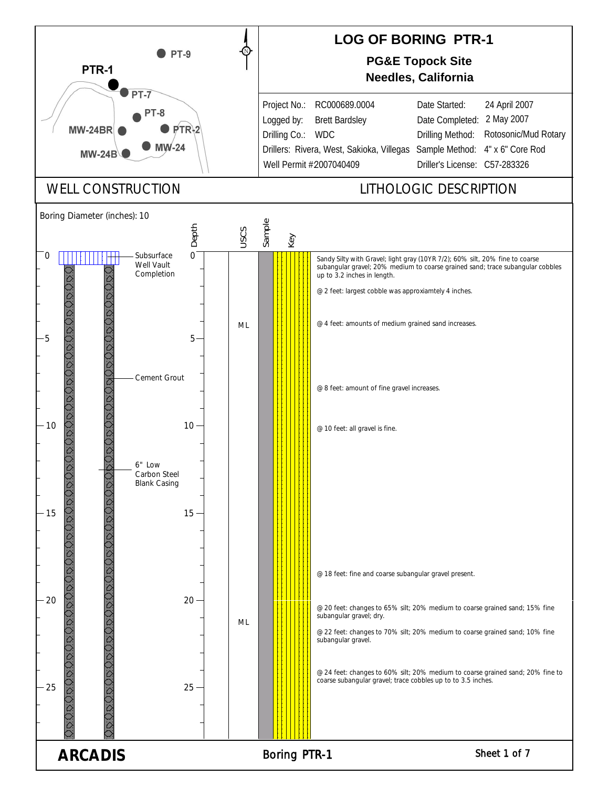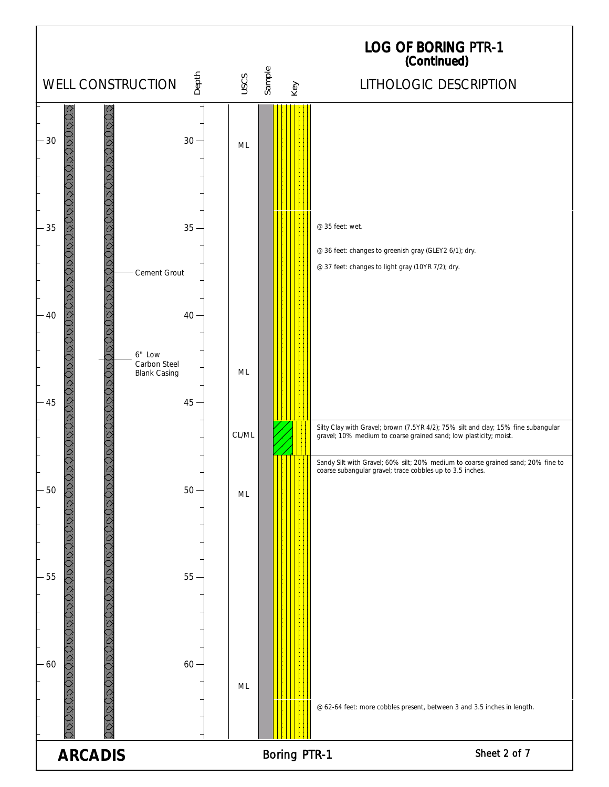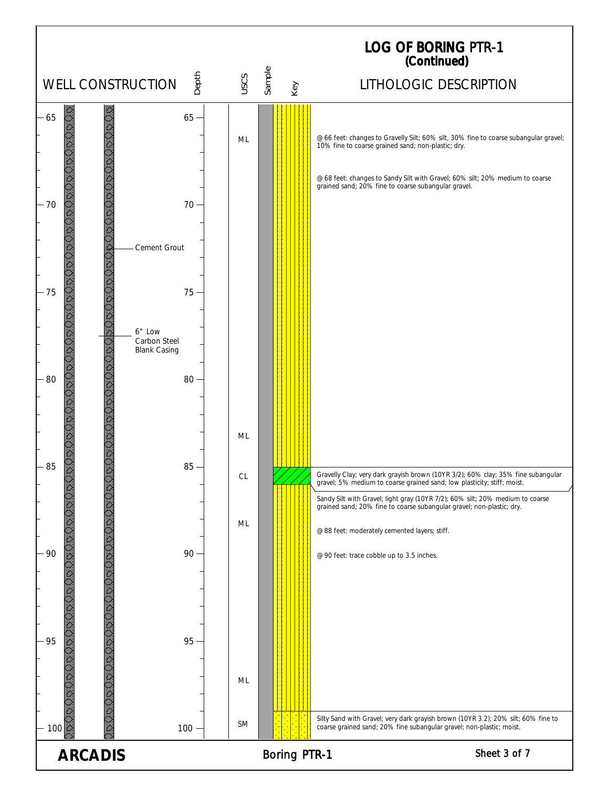![](_page_2_Figure_0.jpeg)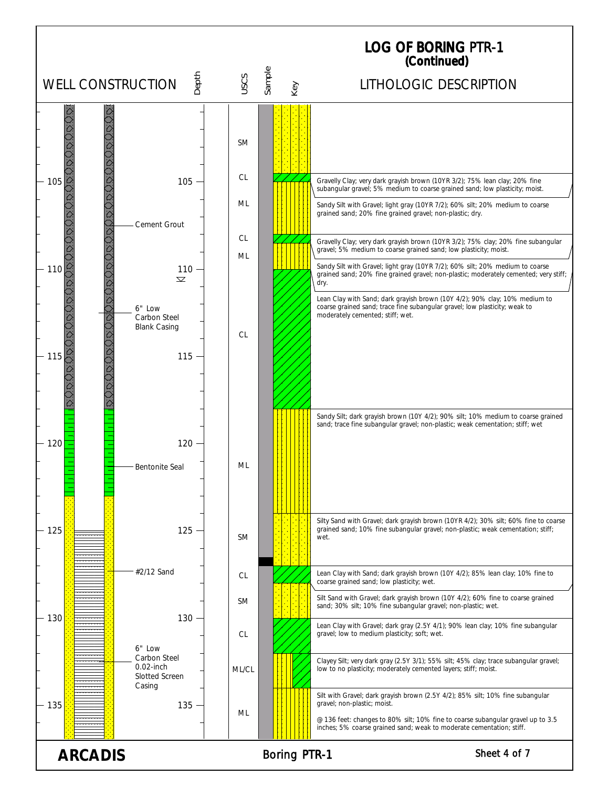![](_page_3_Figure_0.jpeg)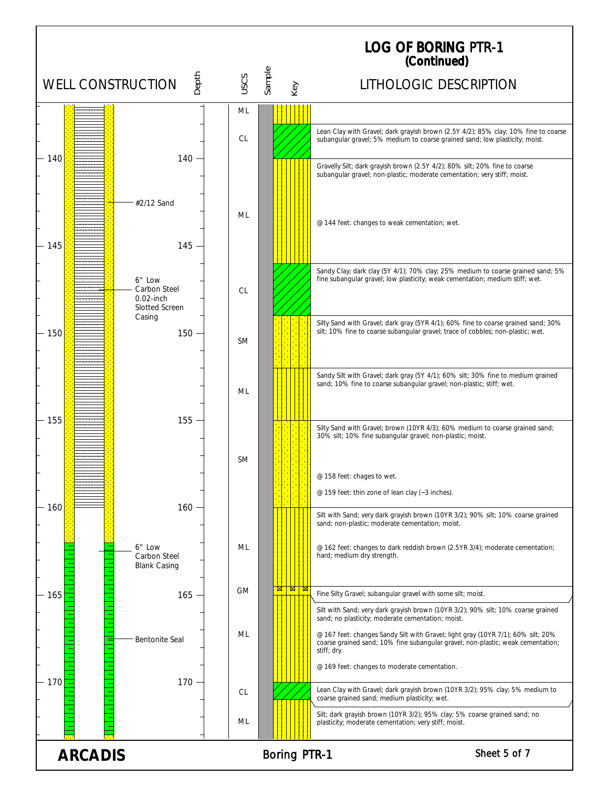|                                           |                                                       |                                                                 |           | <b>LOG OF BORING PTR-1</b><br>(Continued) |        |     |                                                                                                                                                                                    |  |  |
|-------------------------------------------|-------------------------------------------------------|-----------------------------------------------------------------|-----------|-------------------------------------------|--------|-----|------------------------------------------------------------------------------------------------------------------------------------------------------------------------------------|--|--|
| Depth<br>USCS<br><b>WELL CONSTRUCTION</b> |                                                       |                                                                 |           |                                           | Sample | Key | LITHOLOGIC DESCRIPTION                                                                                                                                                             |  |  |
|                                           |                                                       |                                                                 | ML        |                                           |        |     |                                                                                                                                                                                    |  |  |
|                                           |                                                       |                                                                 | <b>CL</b> |                                           |        |     | Lean Clay with Gravel; dark grayish brown (2.5Y 4/2); 85% clay; 10% fine to coarse<br>subangular gravel; 5% medium to coarse grained sand; low plasticity; moist.                  |  |  |
| 140                                       |                                                       | $140 -$                                                         |           |                                           |        |     | Gravelly Silt; dark grayish brown (2.5Y 4/2); 80% silt; 20% fine to coarse<br>subangular gravel; non-plastic; moderate cementation; very stiff; moist.                             |  |  |
| $-145$                                    |                                                       | #2/12 Sand<br>$145 -$                                           | ML        |                                           |        |     | @ 144 feet: changes to weak cementation; wet.                                                                                                                                      |  |  |
|                                           |                                                       | 6" Low<br>Carbon Steel<br>$0.02$ -inch<br><b>Slotted Screen</b> | <b>CL</b> |                                           |        |     | Sandy Clay; dark clay (5Y 4/1); 70% clay; 25% medium to coarse grained sand; 5%<br>fine subangular gravel; low plasticity; weak cementation; medium stiff; wet.                    |  |  |
| 150                                       |                                                       | Casing<br>$150 -$                                               | <b>SM</b> |                                           |        |     | Silty Sand with Gravel; dark gray (5YR 4/1); 60% fine to coarse grained sand; 30%<br>silt; 10% fine to coarse subangular gravel; trace of cobbles; non-plastic; wet.               |  |  |
|                                           |                                                       |                                                                 | ML        |                                           |        |     | Sandy Silt with Gravel; dark gray (5Y 4/1); 60% silt; 30% fine to medium grained<br>sand; 10% fine to coarse subangular gravel; non-plastic; stiff; wet.                           |  |  |
| 155                                       |                                                       | 155                                                             | <b>SM</b> |                                           |        |     | Silty Sand with Gravel; brown (10YR 4/3); 60% medium to coarse grained sand;<br>30% silt; 10% fine subangular gravel; non-plastic; moist.                                          |  |  |
|                                           |                                                       |                                                                 |           |                                           |        |     | @ 158 feet: chages to wet.                                                                                                                                                         |  |  |
| 160                                       |                                                       | $160 -$                                                         |           |                                           |        |     | @ 159 feet: thin zone of lean clay (~3 inches).                                                                                                                                    |  |  |
|                                           |                                                       |                                                                 |           |                                           |        |     | Silt with Sand; very dark grayish brown (10YR 3/2); 90% silt; 10% coarse grained<br>sand; non-plastic; moderate cementation; moist.                                                |  |  |
|                                           |                                                       | 6" Low<br>Carbon Steel<br><b>Blank Casing</b>                   | ML        |                                           |        |     | @ 162 feet: changes to dark reddish brown (2.5YR 3/4); moderate cementation;<br>hard; medium dry strength.                                                                         |  |  |
| $-165$                                    |                                                       | $165 -$                                                         | <b>GM</b> |                                           |        |     | Fine Silty Gravel; subangular gravel with some silt; moist.                                                                                                                        |  |  |
|                                           |                                                       |                                                                 |           |                                           |        |     | Silt with Sand; very dark grayish brown (10YR 3/2); 90% silt; 10% coarse grained<br>sand; no plasticity; moderate cementation; moist.                                              |  |  |
|                                           |                                                       | <b>Bentonite Seal</b>                                           | ML        |                                           |        |     | @ 167 feet: changes Sandy Silt with Gravel; light gray (10YR 7/1); 60% silt; 20%<br>coarse grained sand; 10% fine subangular gravel; non-plastic; weak cementation;<br>stiff; dry. |  |  |
|                                           |                                                       |                                                                 |           |                                           |        |     | @ 169 feet: changes to moderate cementation.                                                                                                                                       |  |  |
| 170                                       |                                                       | $170 -$                                                         | CL        |                                           |        |     | Lean Clay with Gravel; dark grayish brown (10YR 3/2); 95% clay; 5% medium to<br>coarse grained sand; medium plasticity; wet.                                                       |  |  |
|                                           |                                                       |                                                                 | ML        |                                           |        |     | Silt; dark grayish brown (10YR 3/2); 95% clay; 5% coarse grained sand; no<br>plasticity; moderate cementation; very stiff; moist.                                                  |  |  |
|                                           | Sheet 5 of 7<br><b>Boring PTR-1</b><br><b>ARCADIS</b> |                                                                 |           |                                           |        |     |                                                                                                                                                                                    |  |  |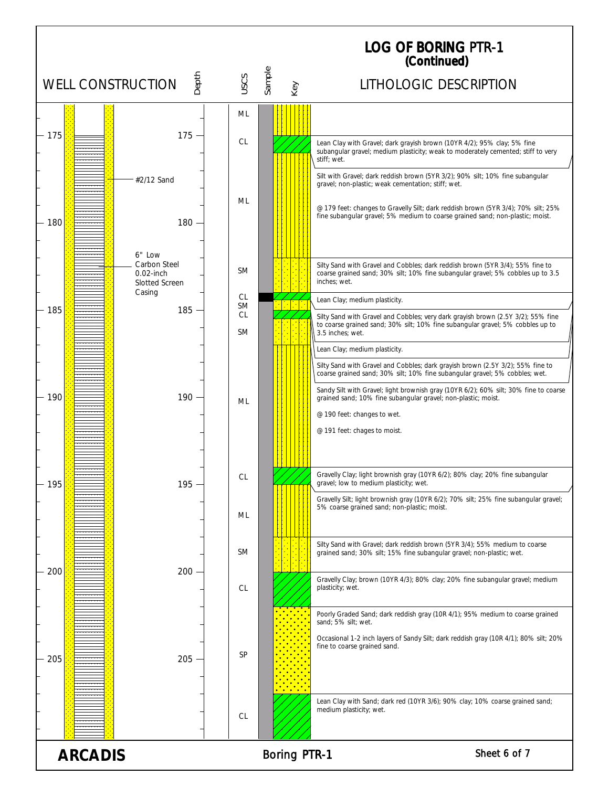|                          |                                                                    |                                                  |                     | <b>LOG OF BORING PTR-1</b><br>(Continued)                                                                                                                                                                                                                                                                                                               |
|--------------------------|--------------------------------------------------------------------|--------------------------------------------------|---------------------|---------------------------------------------------------------------------------------------------------------------------------------------------------------------------------------------------------------------------------------------------------------------------------------------------------------------------------------------------------|
| <b>WELL CONSTRUCTION</b> | Depth                                                              | USCS                                             | Sample<br>Key       | LITHOLOGIC DESCRIPTION                                                                                                                                                                                                                                                                                                                                  |
| 175                      | $175 -$                                                            | ML<br><b>CL</b>                                  |                     | Lean Clay with Gravel; dark grayish brown (10YR 4/2); 95% clay; 5% fine<br>subangular gravel; medium plasticity; weak to moderately cemented; stiff to very                                                                                                                                                                                             |
| 180                      | #2/12 Sand<br>180                                                  | ML                                               |                     | stiff; wet.<br>Silt with Gravel; dark reddish brown (5YR 3/2); 90% silt; 10% fine subangular<br>gravel; non-plastic; weak cementation; stiff; wet.<br>@ 179 feet: changes to Gravelly Silt; dark reddish brown (5YR 3/4); 70% silt; 25%<br>fine subangular gravel; 5% medium to coarse grained sand; non-plastic; moist.                                |
|                          | 6" Low<br>Carbon Steel<br>$0.02$ -inch<br>Slotted Screen<br>Casing | <b>SM</b>                                        |                     | Silty Sand with Gravel and Cobbles; dark reddish brown (5YR 3/4); 55% fine to<br>coarse grained sand; 30% silt; 10% fine subangular gravel; 5% cobbles up to 3.5<br>inches: wet.                                                                                                                                                                        |
| 185                      | $185 -$                                                            | <b>CL</b><br><b>SM</b><br><b>CL</b><br><b>SM</b> |                     | Lean Clay; medium plasticity.<br>Silty Sand with Gravel and Cobbles; very dark grayish brown (2.5Y 3/2); 55% fine<br>to coarse grained sand; 30% silt; 10% fine subangular gravel; 5% cobbles up to<br>3.5 inches; wet.                                                                                                                                 |
| 190                      | 190                                                                | ML                                               |                     | Lean Clay; medium plasticity.<br>Silty Sand with Gravel and Cobbles; dark grayish brown (2.5Y 3/2); 55% fine to<br>coarse grained sand; 30% silt; 10% fine subangular gravel; 5% cobbles; wet.<br>Sandy Silt with Gravel; light brownish gray (10YR 6/2); 60% silt; 30% fine to coarse<br>grained sand; 10% fine subangular gravel; non-plastic; moist. |
|                          |                                                                    |                                                  |                     | @ 190 feet: changes to wet.<br>@ 191 feet: chages to moist.                                                                                                                                                                                                                                                                                             |
| 195                      | 195                                                                | <b>CL</b>                                        |                     | Gravelly Clay; light brownish gray (10YR 6/2); 80% clay; 20% fine subangular<br>gravel; low to medium plasticity; wet.                                                                                                                                                                                                                                  |
|                          |                                                                    | ML                                               |                     | Gravelly Silt; light brownish gray (10YR 6/2); 70% silt; 25% fine subangular gravel;<br>5% coarse grained sand; non-plastic; moist.                                                                                                                                                                                                                     |
| 200                      | 200                                                                | <b>SM</b>                                        |                     | Silty Sand with Gravel; dark reddish brown (5YR 3/4); 55% medium to coarse<br>grained sand; 30% silt; 15% fine subangular gravel; non-plastic; wet.                                                                                                                                                                                                     |
|                          |                                                                    | <b>CL</b>                                        |                     | Gravelly Clay; brown (10YR 4/3); 80% clay; 20% fine subangular gravel; medium<br>plasticity; wet.<br>Poorly Graded Sand; dark reddish gray (10R 4/1); 95% medium to coarse grained                                                                                                                                                                      |
| 205                      | $205 -$                                                            | <b>SP</b>                                        |                     | sand; 5% silt; wet.<br>Occasional 1-2 inch layers of Sandy Silt; dark reddish gray (10R 4/1); 80% silt; 20%<br>fine to coarse grained sand.                                                                                                                                                                                                             |
|                          |                                                                    | <b>CL</b>                                        |                     | Lean Clay with Sand; dark red (10YR 3/6); 90% clay; 10% coarse grained sand;<br>medium plasticity; wet.                                                                                                                                                                                                                                                 |
| <b>ARCADIS</b>           |                                                                    |                                                  | <b>Boring PTR-1</b> | Sheet 6 of 7                                                                                                                                                                                                                                                                                                                                            |